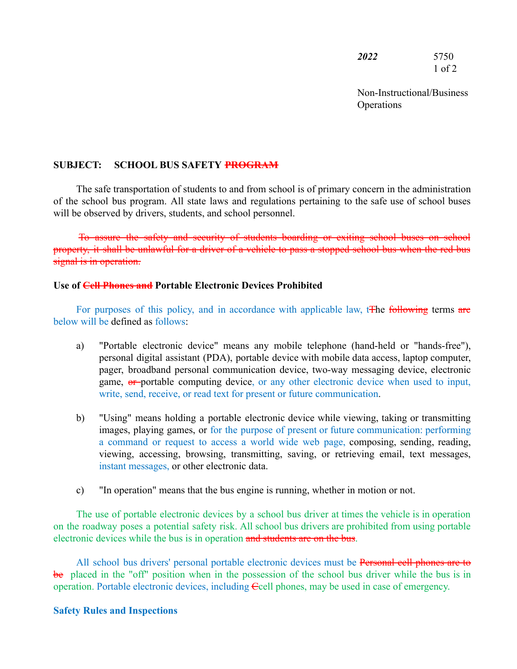*2022* 5750 1 of 2

Non-Instructional/Business **Operations** 

## **SUBJECT: SCHOOL BUS SAFETY PROGRAM**

The safe transportation of students to and from school is of primary concern in the administration of the school bus program. All state laws and regulations pertaining to the safe use of school buses will be observed by drivers, students, and school personnel.

To assure the safety and security of students boarding or exiting school buses on school property, it shall be unlawful for a driver of a vehicle to pass a stopped school bus when the red bus signal is in operation.

## **Use of Cell Phones and Portable Electronic Devices Prohibited**

For purposes of this policy, and in accordance with applicable law, the following terms are below will be defined as follows:

- a) "Portable electronic device" means any mobile telephone (hand-held or "hands-free"), personal digital assistant (PDA), portable device with mobile data access, laptop computer, pager, broadband personal communication device, two-way messaging device, electronic game, or portable computing device, or any other electronic device when used to input, write, send, receive, or read text for present or future communication.
- b) "Using" means holding a portable electronic device while viewing, taking or transmitting images, playing games, or for the purpose of present or future communication: performing a command or request to access a world wide web page, composing, sending, reading, viewing, accessing, browsing, transmitting, saving, or retrieving email, text messages, instant messages, or other electronic data.
- c) "In operation" means that the bus engine is running, whether in motion or not.

The use of portable electronic devices by a school bus driver at times the vehicle is in operation on the roadway poses a potential safety risk. All school bus drivers are prohibited from using portable electronic devices while the bus is in operation and students are on the bus.

All school bus drivers' personal portable electronic devices must be **Personal cell phones are to** be placed in the "off" position when in the possession of the school bus driver while the bus is in operation. Portable electronic devices, including Ccell phones, may be used in case of emergency.

## **Safety Rules and Inspections**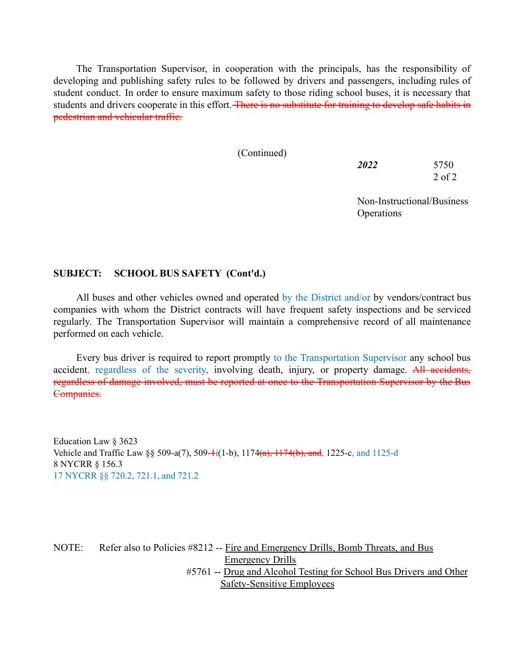The Transportation Supervisor, in cooperation with the principals, has the responsibility of developing and publishing safety rules to be followed by drivers and passengers, including rules of student conduct. In order to ensure maximum safety to those riding school buses, it is necessary that students and drivers cooperate in this effort. There is no substitute for training to develop safe habits in pedestrian and vehicular traffic.

(Continued)

*2022* 5750 2 of 2

Non-Instructional/Business **Operations** 

## **SUBJECT: SCHOOL BUS SAFETY (Cont'd.)**

All buses and other vehicles owned and operated by the District and/or by vendors/contract bus companies with whom the District contracts will have frequent safety inspections and be serviced regularly. The Transportation Supervisor will maintain a comprehensive record of all maintenance performed on each vehicle.

Every bus driver is required to report promptly to the Transportation Supervisor any school bus accident, regardless of the severity, involving death, injury, or property damage. All accidents, regardless of damage involved, must be reported at once to the Transportation Supervisor by the Bus Companies.

Education Law § 3623 Vehicle and Traffic Law  $\S$  509-a(7), 509- $+i(1-b)$ , 1174 $(a)$ , 1174 $(b)$ , and, 1225-c, and 1125-d 8 NYCRR § 156.3 17 NYCRR §§ 720.2, 721.1, and 721.2

NOTE: Refer also to Policies #8212 -- Fire and Emergency Drills, Bomb Threats, and Bus Emergency Drills #5761 -- Drug and Alcohol Testing for School Bus Drivers and Other Safety-Sensitive Employees